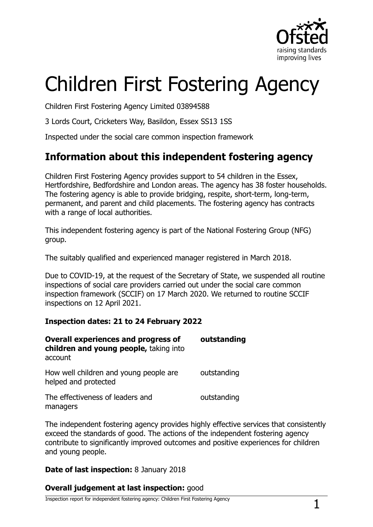

# Children First Fostering Agency

Children First Fostering Agency Limited 03894588

3 Lords Court, Cricketers Way, Basildon, Essex SS13 1SS

Inspected under the social care common inspection framework

## **Information about this independent fostering agency**

Children First Fostering Agency provides support to 54 children in the Essex, Hertfordshire, Bedfordshire and London areas. The agency has 38 foster households. The fostering agency is able to provide bridging, respite, short-term, long-term, permanent, and parent and child placements. The fostering agency has contracts with a range of local authorities.

This independent fostering agency is part of the National Fostering Group (NFG) group.

The suitably qualified and experienced manager registered in March 2018.

Due to COVID-19, at the request of the Secretary of State, we suspended all routine inspections of social care providers carried out under the social care common inspection framework (SCCIF) on 17 March 2020. We returned to routine SCCIF inspections on 12 April 2021.

#### **Inspection dates: 21 to 24 February 2022**

| <b>Overall experiences and progress of</b><br>children and young people, taking into<br>account | outstanding |
|-------------------------------------------------------------------------------------------------|-------------|
| How well children and young people are<br>helped and protected                                  | outstanding |
| The effectiveness of leaders and<br>managers                                                    | outstanding |

The independent fostering agency provides highly effective services that consistently exceed the standards of good. The actions of the independent fostering agency contribute to significantly improved outcomes and positive experiences for children and young people.

#### **Date of last inspection:** 8 January 2018

#### **Overall judgement at last inspection:** good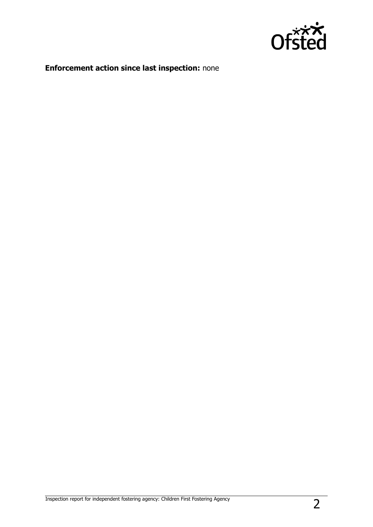

## **Enforcement action since last inspection:** none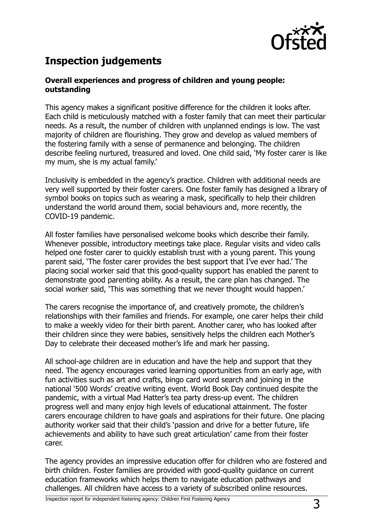

## **Inspection judgements**

#### **Overall experiences and progress of children and young people: outstanding**

This agency makes a significant positive difference for the children it looks after. Each child is meticulously matched with a foster family that can meet their particular needs. As a result, the number of children with unplanned endings is low. The vast majority of children are flourishing. They grow and develop as valued members of the fostering family with a sense of permanence and belonging. The children describe feeling nurtured, treasured and loved. One child said, 'My foster carer is like my mum, she is my actual family.'

Inclusivity is embedded in the agency's practice. Children with additional needs are very well supported by their foster carers. One foster family has designed a library of symbol books on topics such as wearing a mask, specifically to help their children understand the world around them, social behaviours and, more recently, the COVID-19 pandemic.

All foster families have personalised welcome books which describe their family. Whenever possible, introductory meetings take place. Regular visits and video calls helped one foster carer to quickly establish trust with a young parent. This young parent said, 'The foster carer provides the best support that I've ever had.' The placing social worker said that this good-quality support has enabled the parent to demonstrate good parenting ability. As a result, the care plan has changed. The social worker said, 'This was something that we never thought would happen.'

The carers recognise the importance of, and creatively promote, the children's relationships with their families and friends. For example, one carer helps their child to make a weekly video for their birth parent. Another carer, who has looked after their children since they were babies, sensitively helps the children each Mother's Day to celebrate their deceased mother's life and mark her passing.

All school-age children are in education and have the help and support that they need. The agency encourages varied learning opportunities from an early age, with fun activities such as art and crafts, bingo card word search and joining in the national '500 Words' creative writing event. World Book Day continued despite the pandemic, with a virtual Mad Hatter's tea party dress-up event. The children progress well and many enjoy high levels of educational attainment. The foster carers encourage children to have goals and aspirations for their future. One placing authority worker said that their child's 'passion and drive for a better future, life achievements and ability to have such great articulation' came from their foster carer.

The agency provides an impressive education offer for children who are fostered and birth children. Foster families are provided with good-quality guidance on current education frameworks which helps them to navigate education pathways and challenges. All children have access to a variety of subscribed online resources.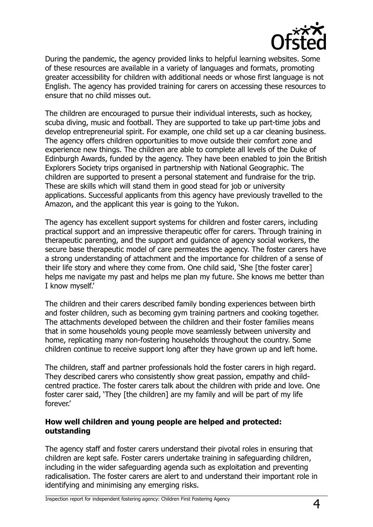

During the pandemic, the agency provided links to helpful learning websites. Some of these resources are available in a variety of languages and formats, promoting greater accessibility for children with additional needs or whose first language is not English. The agency has provided training for carers on accessing these resources to ensure that no child misses out.

The children are encouraged to pursue their individual interests, such as hockey, scuba diving, music and football. They are supported to take up part-time jobs and develop entrepreneurial spirit. For example, one child set up a car cleaning business. The agency offers children opportunities to move outside their comfort zone and experience new things. The children are able to complete all levels of the Duke of Edinburgh Awards, funded by the agency. They have been enabled to join the British Explorers Society trips organised in partnership with National Geographic. The children are supported to present a personal statement and fundraise for the trip. These are skills which will stand them in good stead for job or university applications. Successful applicants from this agency have previously travelled to the Amazon, and the applicant this year is going to the Yukon.

The agency has excellent support systems for children and foster carers, including practical support and an impressive therapeutic offer for carers. Through training in therapeutic parenting, and the support and guidance of agency social workers, the secure base therapeutic model of care permeates the agency. The foster carers have a strong understanding of attachment and the importance for children of a sense of their life story and where they come from. One child said, 'She [the foster carer] helps me navigate my past and helps me plan my future. She knows me better than I know myself.'

The children and their carers described family bonding experiences between birth and foster children, such as becoming gym training partners and cooking together. The attachments developed between the children and their foster families means that in some households young people move seamlessly between university and home, replicating many non-fostering households throughout the country. Some children continue to receive support long after they have grown up and left home.

The children, staff and partner professionals hold the foster carers in high regard. They described carers who consistently show great passion, empathy and childcentred practice. The foster carers talk about the children with pride and love. One foster carer said, 'They [the children] are my family and will be part of my life forever.'

#### **How well children and young people are helped and protected: outstanding**

The agency staff and foster carers understand their pivotal roles in ensuring that children are kept safe. Foster carers undertake training in safeguarding children, including in the wider safeguarding agenda such as exploitation and preventing radicalisation. The foster carers are alert to and understand their important role in identifying and minimising any emerging risks.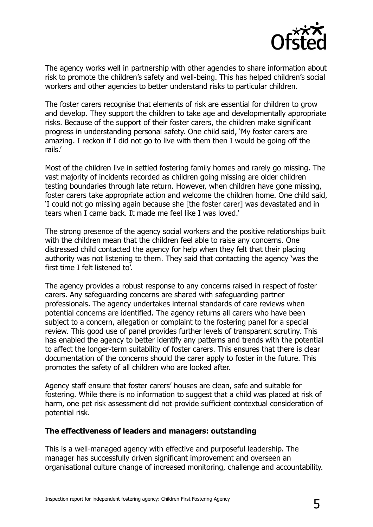

The agency works well in partnership with other agencies to share information about risk to promote the children's safety and well-being. This has helped children's social workers and other agencies to better understand risks to particular children.

The foster carers recognise that elements of risk are essential for children to grow and develop. They support the children to take age and developmentally appropriate risks. Because of the support of their foster carers, the children make significant progress in understanding personal safety. One child said, 'My foster carers are amazing. I reckon if I did not go to live with them then I would be going off the rails.'

Most of the children live in settled fostering family homes and rarely go missing. The vast majority of incidents recorded as children going missing are older children testing boundaries through late return. However, when children have gone missing, foster carers take appropriate action and welcome the children home. One child said, 'I could not go missing again because she [the foster carer] was devastated and in tears when I came back. It made me feel like I was loved.'

The strong presence of the agency social workers and the positive relationships built with the children mean that the children feel able to raise any concerns. One distressed child contacted the agency for help when they felt that their placing authority was not listening to them. They said that contacting the agency 'was the first time I felt listened to'.

The agency provides a robust response to any concerns raised in respect of foster carers. Any safeguarding concerns are shared with safeguarding partner professionals. The agency undertakes internal standards of care reviews when potential concerns are identified. The agency returns all carers who have been subject to a concern, allegation or complaint to the fostering panel for a special review. This good use of panel provides further levels of transparent scrutiny. This has enabled the agency to better identify any patterns and trends with the potential to affect the longer-term suitability of foster carers. This ensures that there is clear documentation of the concerns should the carer apply to foster in the future. This promotes the safety of all children who are looked after.

Agency staff ensure that foster carers' houses are clean, safe and suitable for fostering. While there is no information to suggest that a child was placed at risk of harm, one pet risk assessment did not provide sufficient contextual consideration of potential risk.

#### **The effectiveness of leaders and managers: outstanding**

This is a well-managed agency with effective and purposeful leadership. The manager has successfully driven significant improvement and overseen an organisational culture change of increased monitoring, challenge and accountability.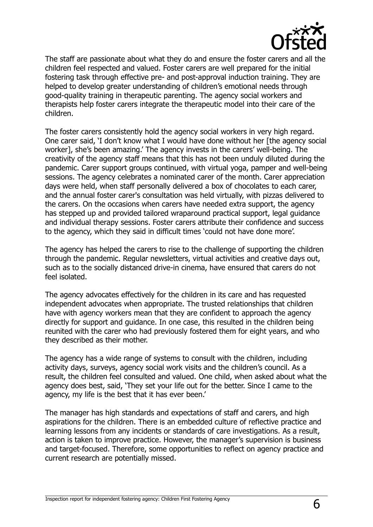

The staff are passionate about what they do and ensure the foster carers and all the children feel respected and valued. Foster carers are well prepared for the initial fostering task through effective pre- and post-approval induction training. They are helped to develop greater understanding of children's emotional needs through good-quality training in therapeutic parenting. The agency social workers and therapists help foster carers integrate the therapeutic model into their care of the children.

The foster carers consistently hold the agency social workers in very high regard. One carer said, 'I don't know what I would have done without her [the agency social worker], she's been amazing.' The agency invests in the carers' well-being. The creativity of the agency staff means that this has not been unduly diluted during the pandemic. Carer support groups continued, with virtual yoga, pamper and well-being sessions. The agency celebrates a nominated carer of the month. Carer appreciation days were held, when staff personally delivered a box of chocolates to each carer, and the annual foster carer's consultation was held virtually, with pizzas delivered to the carers. On the occasions when carers have needed extra support, the agency has stepped up and provided tailored wraparound practical support, legal guidance and individual therapy sessions. Foster carers attribute their confidence and success to the agency, which they said in difficult times 'could not have done more'.

The agency has helped the carers to rise to the challenge of supporting the children through the pandemic. Regular newsletters, virtual activities and creative days out, such as to the socially distanced drive-in cinema, have ensured that carers do not feel isolated.

The agency advocates effectively for the children in its care and has requested independent advocates when appropriate. The trusted relationships that children have with agency workers mean that they are confident to approach the agency directly for support and guidance. In one case, this resulted in the children being reunited with the carer who had previously fostered them for eight years, and who they described as their mother.

The agency has a wide range of systems to consult with the children, including activity days, surveys, agency social work visits and the children's council. As a result, the children feel consulted and valued. One child, when asked about what the agency does best, said, 'They set your life out for the better. Since I came to the agency, my life is the best that it has ever been.'

The manager has high standards and expectations of staff and carers, and high aspirations for the children. There is an embedded culture of reflective practice and learning lessons from any incidents or standards of care investigations. As a result, action is taken to improve practice. However, the manager's supervision is business and target-focused. Therefore, some opportunities to reflect on agency practice and current research are potentially missed.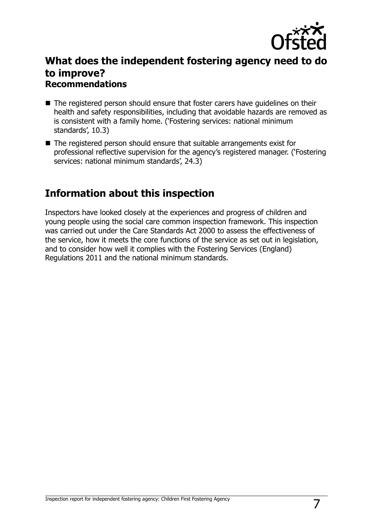

### **What does the independent fostering agency need to do to improve? Recommendations**

- The registered person should ensure that foster carers have guidelines on their health and safety responsibilities, including that avoidable hazards are removed as is consistent with a family home. ('Fostering services: national minimum standards', 10.3)
- The registered person should ensure that suitable arrangements exist for professional reflective supervision for the agency's registered manager. ('Fostering services: national minimum standards', 24.3)

## **Information about this inspection**

Inspectors have looked closely at the experiences and progress of children and young people using the social care common inspection framework. This inspection was carried out under the Care Standards Act 2000 to assess the effectiveness of the service, how it meets the core functions of the service as set out in legislation, and to consider how well it complies with the Fostering Services (England) Regulations 2011 and the national minimum standards.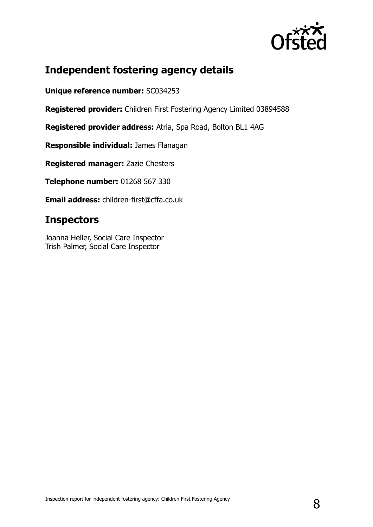

## **Independent fostering agency details**

**Unique reference number:** SC034253

**Registered provider:** Children First Fostering Agency Limited 03894588

**Registered provider address:** Atria, Spa Road, Bolton BL1 4AG

**Responsible individual:** James Flanagan

**Registered manager:** Zazie Chesters

**Telephone number:** 01268 567 330

**Email address:** children-first@cffa.co.uk

## **Inspectors**

Joanna Heller, Social Care Inspector Trish Palmer, Social Care Inspector